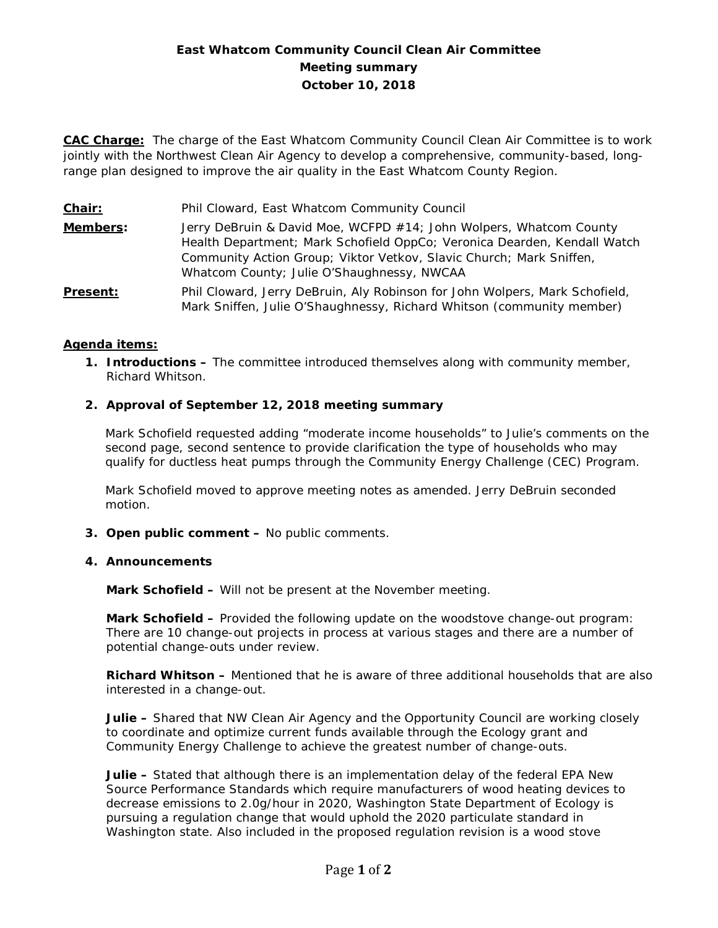# **East Whatcom Community Council Clean Air Committee Meeting summary October 10, 2018**

**CAC Charge:** The charge of the East Whatcom Community Council Clean Air Committee is to work jointly with the Northwest Clean Air Agency to develop a comprehensive, community-based, longrange plan designed to improve the air quality in the East Whatcom County Region.

| <u>Chair:</u>   | Phil Cloward, East Whatcom Community Council                                                                                                                                                                                                                        |
|-----------------|---------------------------------------------------------------------------------------------------------------------------------------------------------------------------------------------------------------------------------------------------------------------|
| Members:        | Jerry DeBruin & David Moe, WCFPD #14; John Wolpers, Whatcom County<br>Health Department; Mark Schofield OppCo; Veronica Dearden, Kendall Watch<br>Community Action Group; Viktor Vetkov, Slavic Church; Mark Sniffen,<br>Whatcom County; Julie O'Shaughnessy, NWCAA |
| <b>Present:</b> | Phil Cloward, Jerry DeBruin, Aly Robinson for John Wolpers, Mark Schofield,<br>Mark Sniffen, Julie O'Shaughnessy, Richard Whitson (community member)                                                                                                                |

## **Agenda items:**

**1. Introductions –** The committee introduced themselves along with community member, Richard Whitson.

### **2. Approval of September 12, 2018 meeting summary**

Mark Schofield requested adding "moderate income households" to Julie's comments on the second page, second sentence to provide clarification the type of households who may qualify for ductless heat pumps through the Community Energy Challenge (CEC) Program.

Mark Schofield moved to approve meeting notes as amended. Jerry DeBruin seconded motion.

**3. Open public comment –** No public comments.

#### **4. Announcements**

**Mark Schofield –** Will not be present at the November meeting.

**Mark Schofield –** Provided the following update on the woodstove change-out program: There are 10 change-out projects in process at various stages and there are a number of potential change-outs under review.

**Richard Whitson –** Mentioned that he is aware of three additional households that are also interested in a change-out.

**Julie –** Shared that NW Clean Air Agency and the Opportunity Council are working closely to coordinate and optimize current funds available through the Ecology grant and Community Energy Challenge to achieve the greatest number of change-outs.

**Julie –** Stated that although there is an implementation delay of the federal EPA New Source Performance Standards which require manufacturers of wood heating devices to decrease emissions to 2.0g/hour in 2020, Washington State Department of Ecology is pursuing a regulation change that would uphold the 2020 particulate standard in Washington state. Also included in the proposed regulation revision is a wood stove